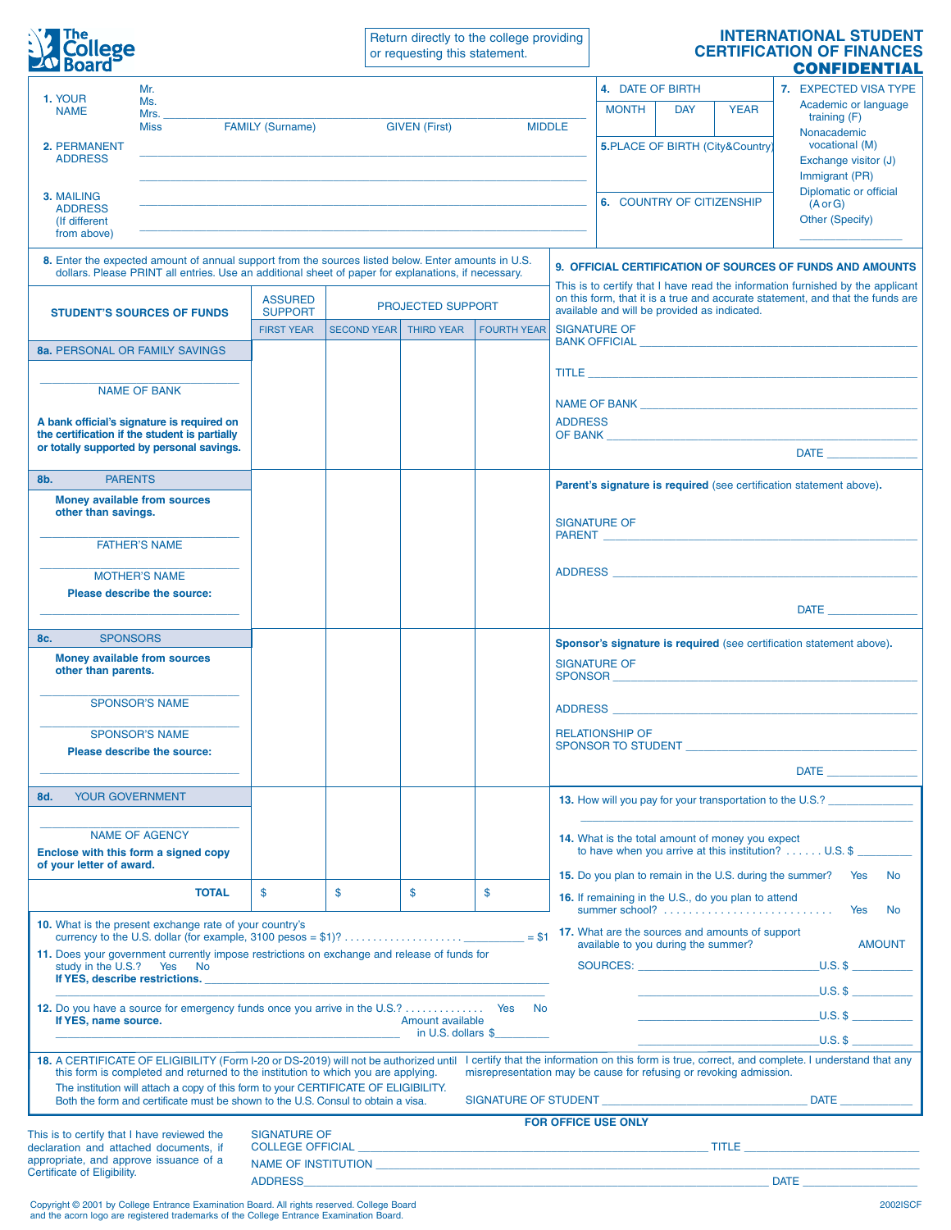

Return directly to the college providing or requesting this statement.

## **INTERNATIONAL STUDENT CERTIFICATION OF FINANCES CONFIDENTIAL**

| 1. YOUR<br><b>NAME</b>                                                                                                                                                                                                                                                         | Mr.                                                     |                                                                                  |                                                                                                                                                                                                                               |                      |                    |                                                                                                                                                                                                                                                        | 4. DATE OF BIRTH                                                                  |                                 |                                                                                                                                                                                                                                | 7. EXPECTED VISA TYPE |                                                                      |  |
|--------------------------------------------------------------------------------------------------------------------------------------------------------------------------------------------------------------------------------------------------------------------------------|---------------------------------------------------------|----------------------------------------------------------------------------------|-------------------------------------------------------------------------------------------------------------------------------------------------------------------------------------------------------------------------------|----------------------|--------------------|--------------------------------------------------------------------------------------------------------------------------------------------------------------------------------------------------------------------------------------------------------|-----------------------------------------------------------------------------------|---------------------------------|--------------------------------------------------------------------------------------------------------------------------------------------------------------------------------------------------------------------------------|-----------------------|----------------------------------------------------------------------|--|
|                                                                                                                                                                                                                                                                                | Ms.<br>Mrs.                                             |                                                                                  |                                                                                                                                                                                                                               |                      |                    |                                                                                                                                                                                                                                                        | <b>MONTH</b>                                                                      | <b>DAY</b>                      | <b>YEAR</b>                                                                                                                                                                                                                    |                       | Academic or language<br>training (F)                                 |  |
|                                                                                                                                                                                                                                                                                | <b>Miss</b>                                             | <b>FAMILY (Surname)</b>                                                          |                                                                                                                                                                                                                               | <b>GIVEN (First)</b> | <b>MIDDLE</b>      |                                                                                                                                                                                                                                                        |                                                                                   | 5.PLACE OF BIRTH (City&Country) |                                                                                                                                                                                                                                |                       | Nonacademic                                                          |  |
| 2. PERMANENT<br><b>ADDRESS</b>                                                                                                                                                                                                                                                 |                                                         |                                                                                  |                                                                                                                                                                                                                               |                      |                    |                                                                                                                                                                                                                                                        |                                                                                   |                                 |                                                                                                                                                                                                                                |                       | vocational (M)<br>Exchange visitor (J)                               |  |
|                                                                                                                                                                                                                                                                                |                                                         |                                                                                  |                                                                                                                                                                                                                               |                      |                    |                                                                                                                                                                                                                                                        |                                                                                   |                                 |                                                                                                                                                                                                                                |                       | Immigrant (PR)                                                       |  |
| 3. MAILING<br><b>ADDRESS</b>                                                                                                                                                                                                                                                   |                                                         |                                                                                  |                                                                                                                                                                                                                               |                      |                    |                                                                                                                                                                                                                                                        | Diplomatic or official<br><b>6. COUNTRY OF CITIZENSHIP</b><br>$(A \text{ or } G)$ |                                 |                                                                                                                                                                                                                                |                       |                                                                      |  |
| (If different<br>from above)                                                                                                                                                                                                                                                   |                                                         |                                                                                  |                                                                                                                                                                                                                               |                      |                    |                                                                                                                                                                                                                                                        |                                                                                   |                                 |                                                                                                                                                                                                                                |                       | Other (Specify)                                                      |  |
|                                                                                                                                                                                                                                                                                |                                                         |                                                                                  |                                                                                                                                                                                                                               |                      |                    |                                                                                                                                                                                                                                                        |                                                                                   |                                 |                                                                                                                                                                                                                                |                       |                                                                      |  |
| 8. Enter the expected amount of annual support from the sources listed below. Enter amounts in U.S.<br><b>9. OFFICIAL CERTIFICATION OF SOURCES OF FUNDS AND AMOUNTS</b><br>dollars. Please PRINT all entries. Use an additional sheet of paper for explanations, if necessary. |                                                         |                                                                                  |                                                                                                                                                                                                                               |                      |                    |                                                                                                                                                                                                                                                        |                                                                                   |                                 |                                                                                                                                                                                                                                |                       |                                                                      |  |
| <b>STUDENT'S SOURCES OF FUNDS</b><br><b>8a. PERSONAL OR FAMILY SAVINGS</b>                                                                                                                                                                                                     |                                                         | <b>ASSURED</b><br><b>PROJECTED SUPPORT</b>                                       |                                                                                                                                                                                                                               |                      |                    | This is to certify that I have read the information furnished by the applicant<br>on this form, that it is a true and accurate statement, and that the funds are                                                                                       |                                                                                   |                                 |                                                                                                                                                                                                                                |                       |                                                                      |  |
|                                                                                                                                                                                                                                                                                |                                                         | <b>SUPPORT</b>                                                                   |                                                                                                                                                                                                                               |                      |                    |                                                                                                                                                                                                                                                        | available and will be provided as indicated.                                      |                                 |                                                                                                                                                                                                                                |                       |                                                                      |  |
|                                                                                                                                                                                                                                                                                |                                                         | <b>FIRST YEAR</b>                                                                | <b>SECOND YEAR</b>                                                                                                                                                                                                            | <b>THIRD YEAR</b>    | <b>FOURTH YEAR</b> | <b>SIGNATURE OF</b><br>BANK OFFICIAL THE CONTROL OF THE CONTROL OF THE CONTROL OF THE CONTROL OF THE CONTROL OF THE CONTROL OF THE CONTROL OF THE CONTROL OF THE CONTROL OF THE CONTROL OF THE CONTROL OF THE CONTROL OF THE CONTROL OF THE CONTROL O  |                                                                                   |                                 |                                                                                                                                                                                                                                |                       |                                                                      |  |
|                                                                                                                                                                                                                                                                                |                                                         |                                                                                  |                                                                                                                                                                                                                               |                      |                    |                                                                                                                                                                                                                                                        |                                                                                   |                                 |                                                                                                                                                                                                                                |                       |                                                                      |  |
| <b>NAME OF BANK</b>                                                                                                                                                                                                                                                            |                                                         |                                                                                  |                                                                                                                                                                                                                               |                      |                    | <b>TITLE <i>CONTRACT CONTRACT CONTRACT CONTRACT CONTRACT CONTRACT CONTRACT CONTRACT CONTRACT CONTRACT CONTRACT CONTRACT CONTRACT CONTRACT CONTRACT CONTRACT CONTRACT CONTRACT CONTRACT CONTRACT CONTRACT CONTRACT CONTRACT CONTR</i></b>               |                                                                                   |                                 |                                                                                                                                                                                                                                |                       |                                                                      |  |
| A bank official's signature is required on<br>the certification if the student is partially<br>or totally supported by personal savings.                                                                                                                                       |                                                         |                                                                                  |                                                                                                                                                                                                                               |                      |                    |                                                                                                                                                                                                                                                        |                                                                                   |                                 |                                                                                                                                                                                                                                |                       |                                                                      |  |
|                                                                                                                                                                                                                                                                                |                                                         |                                                                                  |                                                                                                                                                                                                                               |                      |                    | <b>ADDRESS</b><br>OF BANK <b>Exercísion Contract Contract Contract Contract Contract Contract Contract Contract Contract Contract Contract Contract Contract Contract Contract Contract Contract Contract Contract Contract Contract Contract Cont</b> |                                                                                   |                                 |                                                                                                                                                                                                                                |                       |                                                                      |  |
|                                                                                                                                                                                                                                                                                |                                                         |                                                                                  |                                                                                                                                                                                                                               |                      |                    | DATE <b>All DESCRIPTION</b>                                                                                                                                                                                                                            |                                                                                   |                                 |                                                                                                                                                                                                                                |                       |                                                                      |  |
| <b>PARENTS</b><br>8b.                                                                                                                                                                                                                                                          |                                                         |                                                                                  |                                                                                                                                                                                                                               |                      |                    | Parent's signature is required (see certification statement above).                                                                                                                                                                                    |                                                                                   |                                 |                                                                                                                                                                                                                                |                       |                                                                      |  |
| <b>Money available from sources</b><br>other than savings.                                                                                                                                                                                                                     |                                                         |                                                                                  |                                                                                                                                                                                                                               |                      |                    |                                                                                                                                                                                                                                                        |                                                                                   |                                 |                                                                                                                                                                                                                                |                       |                                                                      |  |
|                                                                                                                                                                                                                                                                                |                                                         |                                                                                  |                                                                                                                                                                                                                               |                      |                    |                                                                                                                                                                                                                                                        | <b>SIGNATURE OF</b>                                                               |                                 |                                                                                                                                                                                                                                |                       |                                                                      |  |
| <b>FATHER'S NAME</b>                                                                                                                                                                                                                                                           |                                                         |                                                                                  |                                                                                                                                                                                                                               |                      |                    |                                                                                                                                                                                                                                                        |                                                                                   |                                 |                                                                                                                                                                                                                                |                       |                                                                      |  |
| <b>MOTHER'S NAME</b>                                                                                                                                                                                                                                                           |                                                         |                                                                                  |                                                                                                                                                                                                                               |                      |                    |                                                                                                                                                                                                                                                        |                                                                                   |                                 |                                                                                                                                                                                                                                |                       |                                                                      |  |
| Please describe the source:                                                                                                                                                                                                                                                    |                                                         |                                                                                  |                                                                                                                                                                                                                               |                      |                    |                                                                                                                                                                                                                                                        |                                                                                   |                                 |                                                                                                                                                                                                                                |                       |                                                                      |  |
|                                                                                                                                                                                                                                                                                |                                                         |                                                                                  |                                                                                                                                                                                                                               |                      |                    |                                                                                                                                                                                                                                                        |                                                                                   |                                 |                                                                                                                                                                                                                                |                       | $\mathsf{DATE} \_\_\_\_\_\_\_\$                                      |  |
| <b>SPONSORS</b><br>8c.                                                                                                                                                                                                                                                         |                                                         |                                                                                  |                                                                                                                                                                                                                               |                      |                    |                                                                                                                                                                                                                                                        |                                                                                   |                                 |                                                                                                                                                                                                                                |                       | Sponsor's signature is required (see certification statement above). |  |
| Money available from sources<br>other than parents.                                                                                                                                                                                                                            |                                                         |                                                                                  |                                                                                                                                                                                                                               |                      |                    | <b>SIGNATURE OF</b><br>SPONSOR EXECUTIVE THE SPONSOR SECTION OF THE SECTION OF THE SECTION OF THE SECTION OF THE SECTION OF THE SECTION OF THE SECTION OF THE SECTION OF THE SECTION OF THE SECTION OF THE SECTION OF THE SECTION OF THE SECTION OF T  |                                                                                   |                                 |                                                                                                                                                                                                                                |                       |                                                                      |  |
|                                                                                                                                                                                                                                                                                |                                                         |                                                                                  |                                                                                                                                                                                                                               |                      |                    |                                                                                                                                                                                                                                                        |                                                                                   |                                 |                                                                                                                                                                                                                                |                       |                                                                      |  |
| <b>SPONSOR'S NAME</b>                                                                                                                                                                                                                                                          |                                                         |                                                                                  |                                                                                                                                                                                                                               |                      |                    |                                                                                                                                                                                                                                                        |                                                                                   |                                 | ADDRESS AND ARRAIGNMENT CONTROL CONTROL CONTROL CONTROL CONTROL CONTROL CONTROL CONTROL CONTROL CONTROL CONTROL CONTROL CONTROL CONTROL CONTROL CONTROL CONTROL CONTROL CONTROL CONTROL CONTROL CONTROL CONTROL CONTROL CONTRO |                       |                                                                      |  |
|                                                                                                                                                                                                                                                                                | <b>SPONSOR'S NAME</b>                                   |                                                                                  |                                                                                                                                                                                                                               |                      |                    |                                                                                                                                                                                                                                                        | <b>RELATIONSHIP OF</b>                                                            |                                 |                                                                                                                                                                                                                                |                       |                                                                      |  |
| Please describe the source:                                                                                                                                                                                                                                                    |                                                         |                                                                                  |                                                                                                                                                                                                                               |                      |                    |                                                                                                                                                                                                                                                        |                                                                                   |                                 | SPONSOR TO STUDENT SPONSOR TO STUDENT                                                                                                                                                                                          |                       |                                                                      |  |
|                                                                                                                                                                                                                                                                                |                                                         |                                                                                  |                                                                                                                                                                                                                               |                      |                    |                                                                                                                                                                                                                                                        |                                                                                   |                                 |                                                                                                                                                                                                                                |                       | <b>DATE</b>                                                          |  |
| <b>YOUR GOVERNMENT</b><br>8d.                                                                                                                                                                                                                                                  |                                                         |                                                                                  |                                                                                                                                                                                                                               |                      |                    |                                                                                                                                                                                                                                                        |                                                                                   |                                 |                                                                                                                                                                                                                                |                       | 13. How will you pay for your transportation to the U.S.?            |  |
|                                                                                                                                                                                                                                                                                | <b>NAME OF AGENCY</b>                                   |                                                                                  |                                                                                                                                                                                                                               |                      |                    |                                                                                                                                                                                                                                                        |                                                                                   |                                 |                                                                                                                                                                                                                                |                       |                                                                      |  |
| Enclose with this form a signed copy                                                                                                                                                                                                                                           |                                                         |                                                                                  |                                                                                                                                                                                                                               |                      |                    |                                                                                                                                                                                                                                                        |                                                                                   |                                 | 14. What is the total amount of money you expect                                                                                                                                                                               |                       | to have when you arrive at this institution? U.S. \$                 |  |
| of your letter of award.                                                                                                                                                                                                                                                       |                                                         |                                                                                  |                                                                                                                                                                                                                               |                      |                    |                                                                                                                                                                                                                                                        |                                                                                   |                                 | 15. Do you plan to remain in the U.S. during the summer?                                                                                                                                                                       |                       | Yes<br>No                                                            |  |
|                                                                                                                                                                                                                                                                                | <b>TOTAL</b>                                            | \$                                                                               | $\mathbf{s}$                                                                                                                                                                                                                  | \$                   | \$                 |                                                                                                                                                                                                                                                        |                                                                                   |                                 | 16. If remaining in the U.S., do you plan to attend                                                                                                                                                                            |                       |                                                                      |  |
|                                                                                                                                                                                                                                                                                | 10. What is the present exchange rate of your country's |                                                                                  |                                                                                                                                                                                                                               |                      |                    |                                                                                                                                                                                                                                                        |                                                                                   |                                 |                                                                                                                                                                                                                                |                       | Yes<br><b>No</b>                                                     |  |
| 17. What are the sources and amounts of support<br>available to you during the summer?<br><b>AMOUNT</b>                                                                                                                                                                        |                                                         |                                                                                  |                                                                                                                                                                                                                               |                      |                    |                                                                                                                                                                                                                                                        |                                                                                   |                                 |                                                                                                                                                                                                                                |                       |                                                                      |  |
| 11. Does your government currently impose restrictions on exchange and release of funds for<br>study in the U.S.? Yes No                                                                                                                                                       |                                                         |                                                                                  |                                                                                                                                                                                                                               |                      |                    |                                                                                                                                                                                                                                                        | SOURCES: U.S. \$                                                                  |                                 |                                                                                                                                                                                                                                |                       |                                                                      |  |
|                                                                                                                                                                                                                                                                                |                                                         |                                                                                  |                                                                                                                                                                                                                               |                      |                    |                                                                                                                                                                                                                                                        |                                                                                   |                                 |                                                                                                                                                                                                                                |                       | $U.S.$ \$                                                            |  |
| 12. Do you have a source for emergency funds once you arrive in the U.S.? Yes No<br>If YES, name source.<br>Amount available                                                                                                                                                   |                                                         |                                                                                  |                                                                                                                                                                                                                               |                      |                    |                                                                                                                                                                                                                                                        |                                                                                   |                                 |                                                                                                                                                                                                                                |                       | $U.S.$ \$                                                            |  |
|                                                                                                                                                                                                                                                                                |                                                         | in U.S. dollars $\frac{1}{2}$                                                    |                                                                                                                                                                                                                               |                      |                    |                                                                                                                                                                                                                                                        |                                                                                   |                                 |                                                                                                                                                                                                                                |                       | $U.S.$ \$                                                            |  |
| 18. A CERTIFICATE OF ELIGIBILITY (Form I-20 or DS-2019) will not be authorized until I certify that the information on this form is true, correct, and complete. I understand that any                                                                                         |                                                         |                                                                                  |                                                                                                                                                                                                                               |                      |                    |                                                                                                                                                                                                                                                        |                                                                                   |                                 |                                                                                                                                                                                                                                |                       |                                                                      |  |
| this form is completed and returned to the institution to which you are applying.<br>misrepresentation may be cause for refusing or revoking admission.<br>The institution will attach a copy of this form to your CERTIFICATE OF ELIGIBILITY.                                 |                                                         |                                                                                  |                                                                                                                                                                                                                               |                      |                    |                                                                                                                                                                                                                                                        |                                                                                   |                                 |                                                                                                                                                                                                                                |                       |                                                                      |  |
|                                                                                                                                                                                                                                                                                |                                                         | Both the form and certificate must be shown to the U.S. Consul to obtain a visa. |                                                                                                                                                                                                                               |                      |                    | <b>DATE <i>DATE</i></b>                                                                                                                                                                                                                                |                                                                                   |                                 |                                                                                                                                                                                                                                |                       |                                                                      |  |
|                                                                                                                                                                                                                                                                                |                                                         | <b>SIGNATURE OF</b>                                                              | <b>FOR OFFICE USE ONLY</b>                                                                                                                                                                                                    |                      |                    |                                                                                                                                                                                                                                                        |                                                                                   |                                 |                                                                                                                                                                                                                                |                       |                                                                      |  |
| This is to certify that I have reviewed the<br>declaration and attached documents, if<br>appropriate, and approve issuance of a                                                                                                                                                |                                                         |                                                                                  |                                                                                                                                                                                                                               |                      |                    |                                                                                                                                                                                                                                                        |                                                                                   |                                 |                                                                                                                                                                                                                                |                       |                                                                      |  |
| Certificate of Eligibility.                                                                                                                                                                                                                                                    |                                                         |                                                                                  | ADDRESS DATE AND RESIDENCE IN A STRUCK CONTROL IN THE STRUCK OF THE STRUCK OF THE STRUCK OF THE STRUCK OF THE STRUCK OF THE STRUCK OF THE STRUCK OF THE STRUCK OF THE STRUCK OF THE STRUCK OF THE STRUCK OF THE STRUCK OF THE |                      |                    |                                                                                                                                                                                                                                                        |                                                                                   |                                 |                                                                                                                                                                                                                                |                       |                                                                      |  |
|                                                                                                                                                                                                                                                                                |                                                         |                                                                                  |                                                                                                                                                                                                                               |                      |                    |                                                                                                                                                                                                                                                        |                                                                                   |                                 |                                                                                                                                                                                                                                |                       |                                                                      |  |

Copyright © 2001 by College Entrance Examination Board. All rights reserved. College Board 2002ISCF and the acorn logo are registered trademarks of the College Entrance Examination Board.